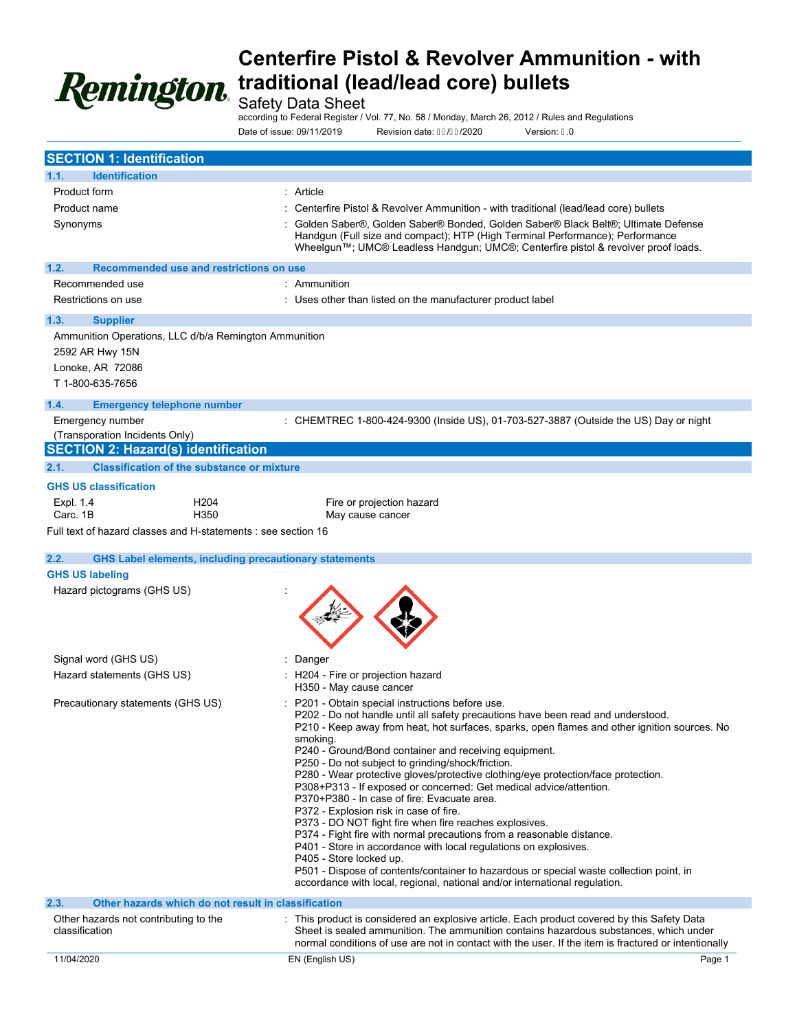

Safety Data Sheet

according to Federal Register / Vol. 77, No. 58 / Monday, March 26, 2012 / Rules and Regulations

Date of issue: 09/11/2019 Revision date: FF/€ /2020 Version: H0

| <b>SECTION 1: Identification</b>                                                                                 |                                                                                                                                                                                                                                                                                                                                                                                                                                                                                                                                                                                                                                                                                                                                                                                                                                                                                                                                                                                                                             |
|------------------------------------------------------------------------------------------------------------------|-----------------------------------------------------------------------------------------------------------------------------------------------------------------------------------------------------------------------------------------------------------------------------------------------------------------------------------------------------------------------------------------------------------------------------------------------------------------------------------------------------------------------------------------------------------------------------------------------------------------------------------------------------------------------------------------------------------------------------------------------------------------------------------------------------------------------------------------------------------------------------------------------------------------------------------------------------------------------------------------------------------------------------|
| <b>Identification</b><br>1.1.                                                                                    |                                                                                                                                                                                                                                                                                                                                                                                                                                                                                                                                                                                                                                                                                                                                                                                                                                                                                                                                                                                                                             |
| Product form                                                                                                     | : Article                                                                                                                                                                                                                                                                                                                                                                                                                                                                                                                                                                                                                                                                                                                                                                                                                                                                                                                                                                                                                   |
| Product name                                                                                                     | Centerfire Pistol & Revolver Ammunition - with traditional (lead/lead core) bullets                                                                                                                                                                                                                                                                                                                                                                                                                                                                                                                                                                                                                                                                                                                                                                                                                                                                                                                                         |
| Synonyms                                                                                                         | Golden Saber®, Golden Saber® Bonded, Golden Saber® Black Belt®; Ultimate Defense<br>Handgun (Full size and compact); HTP (High Terminal Performance); Performance<br>Wheelgun™; UMC® Leadless Handgun; UMC®; Centerfire pistol & revolver proof loads.                                                                                                                                                                                                                                                                                                                                                                                                                                                                                                                                                                                                                                                                                                                                                                      |
| 1.2.<br>Recommended use and restrictions on use                                                                  |                                                                                                                                                                                                                                                                                                                                                                                                                                                                                                                                                                                                                                                                                                                                                                                                                                                                                                                                                                                                                             |
| Recommended use                                                                                                  | Ammunition                                                                                                                                                                                                                                                                                                                                                                                                                                                                                                                                                                                                                                                                                                                                                                                                                                                                                                                                                                                                                  |
| Restrictions on use                                                                                              | Uses other than listed on the manufacturer product label                                                                                                                                                                                                                                                                                                                                                                                                                                                                                                                                                                                                                                                                                                                                                                                                                                                                                                                                                                    |
| 1.3.<br><b>Supplier</b>                                                                                          |                                                                                                                                                                                                                                                                                                                                                                                                                                                                                                                                                                                                                                                                                                                                                                                                                                                                                                                                                                                                                             |
| Ammunition Operations, LLC d/b/a Remington Ammunition<br>2592 AR Hwy 15N<br>Lonoke, AR 72086<br>T 1-800-635-7656 |                                                                                                                                                                                                                                                                                                                                                                                                                                                                                                                                                                                                                                                                                                                                                                                                                                                                                                                                                                                                                             |
| 1.4.<br><b>Emergency telephone number</b>                                                                        |                                                                                                                                                                                                                                                                                                                                                                                                                                                                                                                                                                                                                                                                                                                                                                                                                                                                                                                                                                                                                             |
| Emergency number<br>(Transporation Incidents Only)                                                               | : CHEMTREC 1-800-424-9300 (Inside US), 01-703-527-3887 (Outside the US) Day or night                                                                                                                                                                                                                                                                                                                                                                                                                                                                                                                                                                                                                                                                                                                                                                                                                                                                                                                                        |
| <b>SECTION 2: Hazard(s) identification</b>                                                                       |                                                                                                                                                                                                                                                                                                                                                                                                                                                                                                                                                                                                                                                                                                                                                                                                                                                                                                                                                                                                                             |
| 2.1.<br><b>Classification of the substance or mixture</b>                                                        |                                                                                                                                                                                                                                                                                                                                                                                                                                                                                                                                                                                                                                                                                                                                                                                                                                                                                                                                                                                                                             |
| <b>GHS US classification</b>                                                                                     |                                                                                                                                                                                                                                                                                                                                                                                                                                                                                                                                                                                                                                                                                                                                                                                                                                                                                                                                                                                                                             |
| Expl. 1.4<br>H <sub>204</sub><br>Carc. 1B<br>H <sub>350</sub>                                                    | Fire or projection hazard<br>May cause cancer                                                                                                                                                                                                                                                                                                                                                                                                                                                                                                                                                                                                                                                                                                                                                                                                                                                                                                                                                                               |
| Full text of hazard classes and H-statements : see section 16                                                    |                                                                                                                                                                                                                                                                                                                                                                                                                                                                                                                                                                                                                                                                                                                                                                                                                                                                                                                                                                                                                             |
|                                                                                                                  |                                                                                                                                                                                                                                                                                                                                                                                                                                                                                                                                                                                                                                                                                                                                                                                                                                                                                                                                                                                                                             |
| 2.2.                                                                                                             | <b>GHS Label elements, including precautionary statements</b>                                                                                                                                                                                                                                                                                                                                                                                                                                                                                                                                                                                                                                                                                                                                                                                                                                                                                                                                                               |
| <b>GHS US labeling</b>                                                                                           |                                                                                                                                                                                                                                                                                                                                                                                                                                                                                                                                                                                                                                                                                                                                                                                                                                                                                                                                                                                                                             |
| Hazard pictograms (GHS US)                                                                                       |                                                                                                                                                                                                                                                                                                                                                                                                                                                                                                                                                                                                                                                                                                                                                                                                                                                                                                                                                                                                                             |
| Signal word (GHS US)                                                                                             | Danger                                                                                                                                                                                                                                                                                                                                                                                                                                                                                                                                                                                                                                                                                                                                                                                                                                                                                                                                                                                                                      |
| Hazard statements (GHS US)                                                                                       | H204 - Fire or projection hazard<br>H350 - May cause cancer                                                                                                                                                                                                                                                                                                                                                                                                                                                                                                                                                                                                                                                                                                                                                                                                                                                                                                                                                                 |
| Precautionary statements (GHS US)                                                                                | P201 - Obtain special instructions before use.<br>P202 - Do not handle until all safety precautions have been read and understood.<br>P210 - Keep away from heat, hot surfaces, sparks, open flames and other ignition sources. No<br>smoking.<br>P240 - Ground/Bond container and receiving equipment.<br>P250 - Do not subject to grinding/shock/friction.<br>P280 - Wear protective gloves/protective clothing/eye protection/face protection.<br>P308+P313 - If exposed or concerned: Get medical advice/attention.<br>P370+P380 - In case of fire: Evacuate area.<br>P372 - Explosion risk in case of fire.<br>P373 - DO NOT fight fire when fire reaches explosives.<br>P374 - Fight fire with normal precautions from a reasonable distance.<br>P401 - Store in accordance with local regulations on explosives.<br>P405 - Store locked up.<br>P501 - Dispose of contents/container to hazardous or special waste collection point, in<br>accordance with local, regional, national and/or international regulation. |
| 2.3.                                                                                                             | Other hazards which do not result in classification                                                                                                                                                                                                                                                                                                                                                                                                                                                                                                                                                                                                                                                                                                                                                                                                                                                                                                                                                                         |
| Other hazards not contributing to the<br>classification                                                          | : This product is considered an explosive article. Each product covered by this Safety Data<br>Sheet is sealed ammunition. The ammunition contains hazardous substances, which under<br>normal conditions of use are not in contact with the user. If the item is fractured or intentionally                                                                                                                                                                                                                                                                                                                                                                                                                                                                                                                                                                                                                                                                                                                                |
| 11/04/2020                                                                                                       | Page 1<br>EN (English US)                                                                                                                                                                                                                                                                                                                                                                                                                                                                                                                                                                                                                                                                                                                                                                                                                                                                                                                                                                                                   |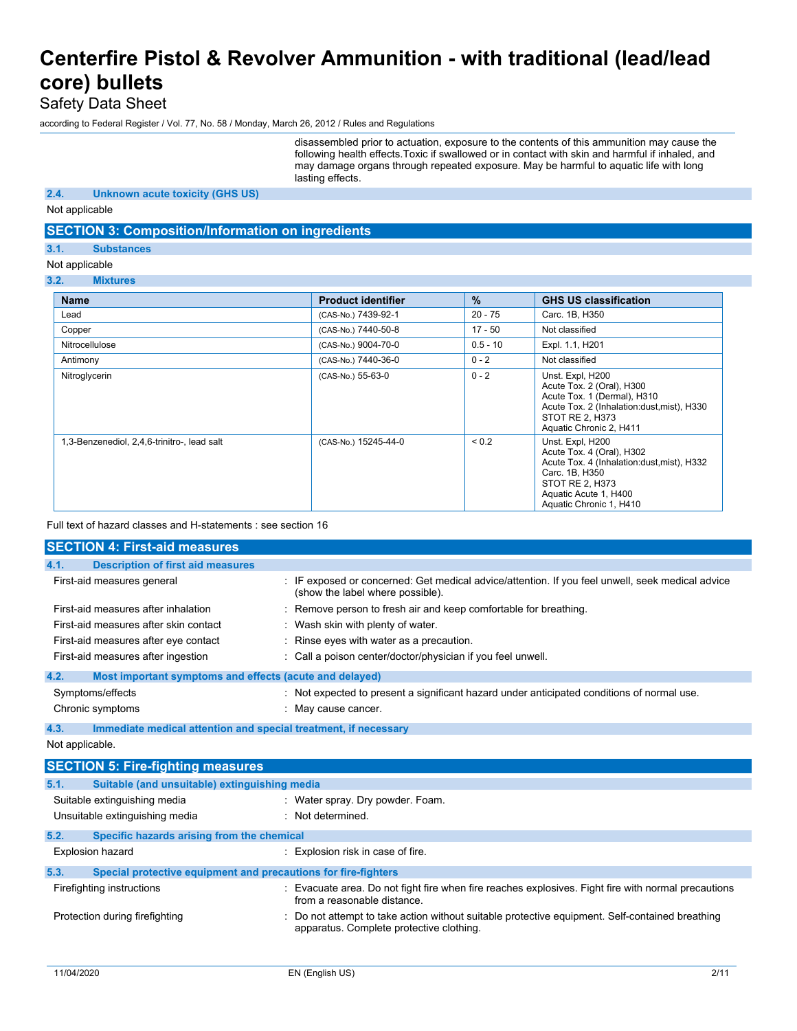Safety Data Sheet

according to Federal Register / Vol. 77, No. 58 / Monday, March 26, 2012 / Rules and Regulations

disassembled prior to actuation, exposure to the contents of this ammunition may cause the following health effects.Toxic if swallowed or in contact with skin and harmful if inhaled, and may damage organs through repeated exposure. May be harmful to aquatic life with long lasting effects.

### **2.4. Unknown acute toxicity (GHS US)**

Not applicable

### **SECTION 3: Composition/Information on ingredients**

### **3.1. Substances**

### Not applicable

**3.2. Mixtures**

| <b>Name</b>                                 | <b>Product identifier</b> | $\%$       | <b>GHS US classification</b>                                                                                                                                                         |
|---------------------------------------------|---------------------------|------------|--------------------------------------------------------------------------------------------------------------------------------------------------------------------------------------|
| Lead                                        | (CAS-No.) 7439-92-1       | $20 - 75$  | Carc. 1B, H350                                                                                                                                                                       |
| Copper                                      | (CAS-No.) 7440-50-8       | $17 - 50$  | Not classified                                                                                                                                                                       |
| Nitrocellulose                              | (CAS-No.) 9004-70-0       | $0.5 - 10$ | Expl. 1.1, H201                                                                                                                                                                      |
| Antimony                                    | (CAS-No.) 7440-36-0       | $0 - 2$    | Not classified                                                                                                                                                                       |
| Nitroglycerin                               | (CAS-No.) 55-63-0         | $0 - 2$    | Unst. Expl, H200<br>Acute Tox. 2 (Oral), H300<br>Acute Tox. 1 (Dermal), H310<br>Acute Tox. 2 (Inhalation:dust, mist), H330<br>STOT RE 2, H373<br>Aquatic Chronic 2, H411             |
| 1,3-Benzenediol, 2,4,6-trinitro-, lead salt | (CAS-No.) 15245-44-0      | ${}_{0.2}$ | Unst. Expl, H200<br>Acute Tox. 4 (Oral), H302<br>Acute Tox. 4 (Inhalation:dust, mist), H332<br>Carc. 1B, H350<br>STOT RE 2, H373<br>Aquatic Acute 1, H400<br>Aquatic Chronic 1, H410 |

Full text of hazard classes and H-statements : see section 16

| <b>SECTION 4: First-aid measures</b>                            |                                                                                                                                      |
|-----------------------------------------------------------------|--------------------------------------------------------------------------------------------------------------------------------------|
| 4.1.<br><b>Description of first aid measures</b>                |                                                                                                                                      |
| First-aid measures general                                      | : IF exposed or concerned: Get medical advice/attention. If you feel unwell, seek medical advice<br>(show the label where possible). |
| First-aid measures after inhalation                             | : Remove person to fresh air and keep comfortable for breathing.                                                                     |
| First-aid measures after skin contact                           | : Wash skin with plenty of water.                                                                                                    |
| First-aid measures after eye contact                            | : Rinse eyes with water as a precaution.                                                                                             |
| First-aid measures after ingestion                              | : Call a poison center/doctor/physician if you feel unwell.                                                                          |
| 4.2.<br>Most important symptoms and effects (acute and delayed) |                                                                                                                                      |
| Symptoms/effects                                                | : Not expected to present a significant hazard under anticipated conditions of normal use.                                           |
| Chronic symptoms                                                | May cause cancer.                                                                                                                    |
|                                                                 |                                                                                                                                      |

**4.3. Immediate medical attention and special treatment, if necessary**

### Not applicable.

| <b>SECTION 5: Fire-fighting measures</b>                               |                                                                                                                                           |  |  |  |
|------------------------------------------------------------------------|-------------------------------------------------------------------------------------------------------------------------------------------|--|--|--|
| 5.1.<br>Suitable (and unsuitable) extinguishing media                  |                                                                                                                                           |  |  |  |
| Suitable extinguishing media                                           | : Water spray. Dry powder. Foam.                                                                                                          |  |  |  |
| Unsuitable extinguishing media                                         | : Not determined.                                                                                                                         |  |  |  |
| 5.2.                                                                   | Specific hazards arising from the chemical                                                                                                |  |  |  |
| <b>Explosion hazard</b>                                                | Explosion risk in case of fire.                                                                                                           |  |  |  |
| 5.3.<br>Special protective equipment and precautions for fire-fighters |                                                                                                                                           |  |  |  |
| Firefighting instructions                                              | Evacuate area. Do not fight fire when fire reaches explosives. Fight fire with normal precautions<br>from a reasonable distance.          |  |  |  |
| Protection during firefighting                                         | Do not attempt to take action without suitable protective equipment. Self-contained breathing<br>apparatus. Complete protective clothing. |  |  |  |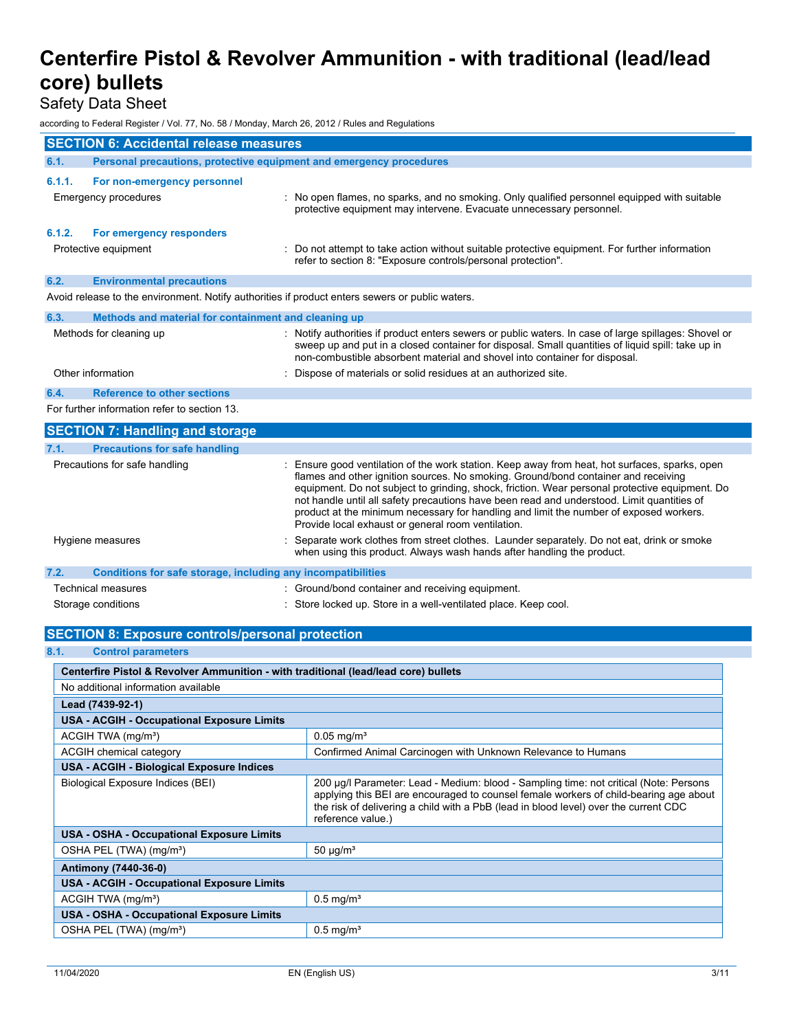Safety Data Sheet

according to Federal Register / Vol. 77, No. 58 / Monday, March 26, 2012 / Rules and Regulations

| <b>SECTION 6: Accidental release measures</b> |                                                                                                 |  |                                                                                                                                                                                                                                                                                                                                                                                                                                                                                                                                    |
|-----------------------------------------------|-------------------------------------------------------------------------------------------------|--|------------------------------------------------------------------------------------------------------------------------------------------------------------------------------------------------------------------------------------------------------------------------------------------------------------------------------------------------------------------------------------------------------------------------------------------------------------------------------------------------------------------------------------|
| 6.1.                                          | Personal precautions, protective equipment and emergency procedures                             |  |                                                                                                                                                                                                                                                                                                                                                                                                                                                                                                                                    |
| 6.1.1.                                        | For non-emergency personnel<br>Emergency procedures                                             |  | No open flames, no sparks, and no smoking. Only qualified personnel equipped with suitable<br>protective equipment may intervene. Evacuate unnecessary personnel.                                                                                                                                                                                                                                                                                                                                                                  |
| 6.1.2.                                        | For emergency responders                                                                        |  |                                                                                                                                                                                                                                                                                                                                                                                                                                                                                                                                    |
|                                               | Protective equipment                                                                            |  | Do not attempt to take action without suitable protective equipment. For further information<br>refer to section 8: "Exposure controls/personal protection".                                                                                                                                                                                                                                                                                                                                                                       |
| 6.2.                                          | <b>Environmental precautions</b>                                                                |  |                                                                                                                                                                                                                                                                                                                                                                                                                                                                                                                                    |
|                                               | Avoid release to the environment. Notify authorities if product enters sewers or public waters. |  |                                                                                                                                                                                                                                                                                                                                                                                                                                                                                                                                    |
| 6.3.                                          | Methods and material for containment and cleaning up                                            |  |                                                                                                                                                                                                                                                                                                                                                                                                                                                                                                                                    |
|                                               | Methods for cleaning up                                                                         |  | Notify authorities if product enters sewers or public waters. In case of large spillages: Shovel or<br>sweep up and put in a closed container for disposal. Small quantities of liquid spill: take up in<br>non-combustible absorbent material and shovel into container for disposal.                                                                                                                                                                                                                                             |
|                                               | Other information                                                                               |  | Dispose of materials or solid residues at an authorized site.                                                                                                                                                                                                                                                                                                                                                                                                                                                                      |
| 6.4.                                          | <b>Reference to other sections</b>                                                              |  |                                                                                                                                                                                                                                                                                                                                                                                                                                                                                                                                    |
|                                               | For further information refer to section 13.                                                    |  |                                                                                                                                                                                                                                                                                                                                                                                                                                                                                                                                    |
|                                               | <b>SECTION 7: Handling and storage</b>                                                          |  |                                                                                                                                                                                                                                                                                                                                                                                                                                                                                                                                    |
| 7.1.                                          | <b>Precautions for safe handling</b>                                                            |  |                                                                                                                                                                                                                                                                                                                                                                                                                                                                                                                                    |
|                                               | Precautions for safe handling                                                                   |  | Ensure good ventilation of the work station. Keep away from heat, hot surfaces, sparks, open<br>flames and other ignition sources. No smoking. Ground/bond container and receiving<br>equipment. Do not subject to grinding, shock, friction. Wear personal protective equipment. Do<br>not handle until all safety precautions have been read and understood. Limit quantities of<br>product at the minimum necessary for handling and limit the number of exposed workers.<br>Provide local exhaust or general room ventilation. |
|                                               | Hygiene measures                                                                                |  | Separate work clothes from street clothes. Launder separately. Do not eat, drink or smoke<br>when using this product. Always wash hands after handling the product.                                                                                                                                                                                                                                                                                                                                                                |

|                                          | : Ground/bond container and receiving equipment.                |
|------------------------------------------|-----------------------------------------------------------------|
|                                          | : Store locked up. Store in a well-ventilated place. Keep cool. |
| Technical measures<br>Storage conditions | Conditions for safe storage, including any incompatibilities    |

### **SECTION 8: Exposure controls/personal protection**

### **8.1. Control parameters**

| Centerfire Pistol & Revolver Ammunition - with traditional (lead/lead core) bullets                                                                                                                                                                                                                                              |                          |  |  |  |
|----------------------------------------------------------------------------------------------------------------------------------------------------------------------------------------------------------------------------------------------------------------------------------------------------------------------------------|--------------------------|--|--|--|
| No additional information available                                                                                                                                                                                                                                                                                              |                          |  |  |  |
| Lead (7439-92-1)                                                                                                                                                                                                                                                                                                                 |                          |  |  |  |
| <b>USA - ACGIH - Occupational Exposure Limits</b>                                                                                                                                                                                                                                                                                |                          |  |  |  |
| ACGIH TWA (mg/m <sup>3</sup> )                                                                                                                                                                                                                                                                                                   | $0.05 \,\mathrm{mg/m^3}$ |  |  |  |
| Confirmed Animal Carcinogen with Unknown Relevance to Humans<br>ACGIH chemical category                                                                                                                                                                                                                                          |                          |  |  |  |
| USA - ACGIH - Biological Exposure Indices                                                                                                                                                                                                                                                                                        |                          |  |  |  |
| 200 µg/l Parameter: Lead - Medium: blood - Sampling time: not critical (Note: Persons<br>Biological Exposure Indices (BEI)<br>applying this BEI are encouraged to counsel female workers of child-bearing age about<br>the risk of delivering a child with a PbB (lead in blood level) over the current CDC<br>reference value.) |                          |  |  |  |
| <b>USA - OSHA - Occupational Exposure Limits</b>                                                                                                                                                                                                                                                                                 |                          |  |  |  |
| OSHA PEL (TWA) (mg/m <sup>3</sup> )<br>$50 \mu g/m3$                                                                                                                                                                                                                                                                             |                          |  |  |  |
| Antimony (7440-36-0)                                                                                                                                                                                                                                                                                                             |                          |  |  |  |
| <b>USA - ACGIH - Occupational Exposure Limits</b>                                                                                                                                                                                                                                                                                |                          |  |  |  |
| $0.5$ mg/m <sup>3</sup><br>ACGIH TWA (mg/m <sup>3</sup> )                                                                                                                                                                                                                                                                        |                          |  |  |  |
| <b>USA - OSHA - Occupational Exposure Limits</b>                                                                                                                                                                                                                                                                                 |                          |  |  |  |
| $0.5$ mg/m <sup>3</sup><br>OSHA PEL (TWA) (mg/m <sup>3</sup> )                                                                                                                                                                                                                                                                   |                          |  |  |  |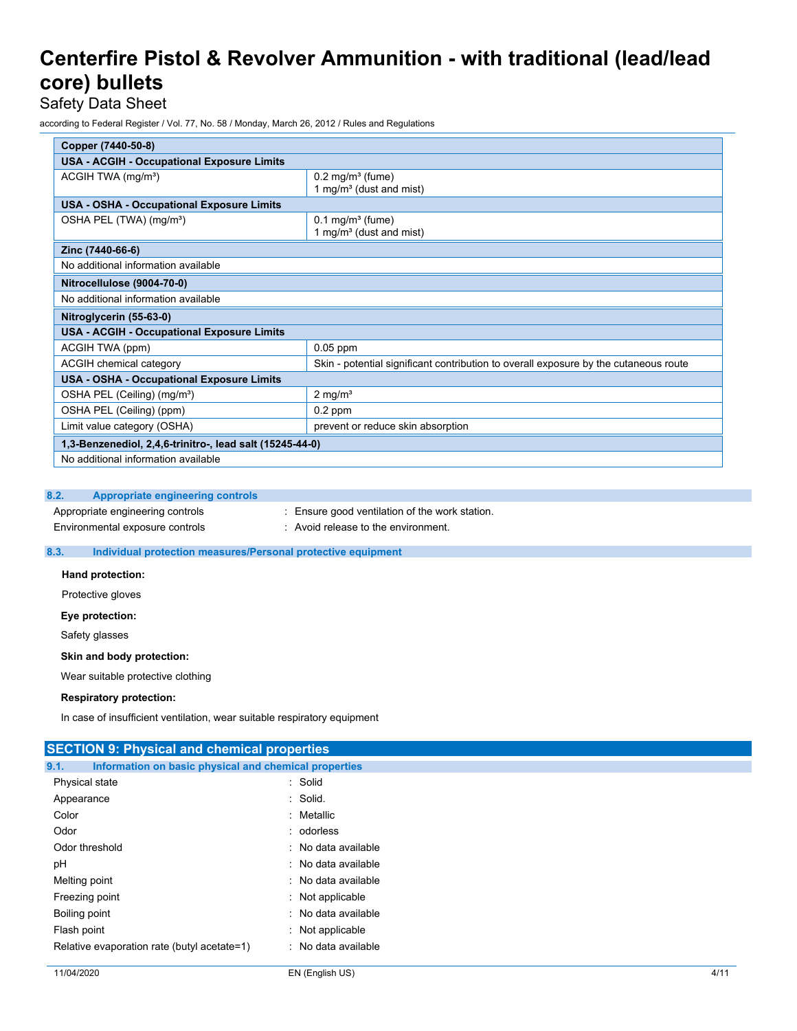Safety Data Sheet

according to Federal Register / Vol. 77, No. 58 / Monday, March 26, 2012 / Rules and Regulations

| Copper (7440-50-8)                                       |                                                                                      |  |  |  |  |
|----------------------------------------------------------|--------------------------------------------------------------------------------------|--|--|--|--|
| <b>USA - ACGIH - Occupational Exposure Limits</b>        |                                                                                      |  |  |  |  |
| ACGIH TWA (mg/m <sup>3</sup> )                           | $0.2$ mg/m <sup>3</sup> (fume)<br>1 mg/m <sup>3</sup> (dust and mist)                |  |  |  |  |
| <b>USA - OSHA - Occupational Exposure Limits</b>         |                                                                                      |  |  |  |  |
| OSHA PEL (TWA) (mg/m <sup>3</sup> )                      | $0.1$ mg/m <sup>3</sup> (fume)<br>1 mg/m <sup>3</sup> (dust and mist)                |  |  |  |  |
| Zinc (7440-66-6)                                         |                                                                                      |  |  |  |  |
| No additional information available                      |                                                                                      |  |  |  |  |
| Nitrocellulose (9004-70-0)                               |                                                                                      |  |  |  |  |
| No additional information available                      |                                                                                      |  |  |  |  |
| Nitroglycerin (55-63-0)                                  |                                                                                      |  |  |  |  |
| <b>USA - ACGIH - Occupational Exposure Limits</b>        |                                                                                      |  |  |  |  |
| ACGIH TWA (ppm)                                          | $0.05$ ppm                                                                           |  |  |  |  |
| ACGIH chemical category                                  | Skin - potential significant contribution to overall exposure by the cutaneous route |  |  |  |  |
| USA - OSHA - Occupational Exposure Limits                |                                                                                      |  |  |  |  |
| OSHA PEL (Ceiling) (mg/m <sup>3</sup> )                  | $2$ mg/m <sup>3</sup>                                                                |  |  |  |  |
| OSHA PEL (Ceiling) (ppm)                                 | $0.2$ ppm                                                                            |  |  |  |  |
| Limit value category (OSHA)                              | prevent or reduce skin absorption                                                    |  |  |  |  |
| 1,3-Benzenediol, 2,4,6-trinitro-, lead salt (15245-44-0) |                                                                                      |  |  |  |  |
| No additional information available                      |                                                                                      |  |  |  |  |

### **8.2. Appropriate engineering controls**

Appropriate engineering controls : Ensure good ventilation of the work station. Environmental exposure controls : Avoid release to the environment.

### **8.3. Individual protection measures/Personal protective equipment**

**Hand protection:**

Protective gloves

**Eye protection:**

Safety glasses

#### **Skin and body protection:**

Wear suitable protective clothing

### **Respiratory protection:**

In case of insufficient ventilation, wear suitable respiratory equipment

### **SECTION 9: Physical and chemical properties**

| Information on basic physical and chemical properties<br>9.1. |                     |  |  |
|---------------------------------------------------------------|---------------------|--|--|
| Physical state                                                | : Solid             |  |  |
| Appearance                                                    | : Solid.            |  |  |
| Color                                                         | : Metallic          |  |  |
| Odor                                                          | : odorless          |  |  |
| Odor threshold                                                | : No data available |  |  |
| рH                                                            | : No data available |  |  |
| Melting point                                                 | : No data available |  |  |
| Freezing point                                                | : Not applicable    |  |  |
| Boiling point                                                 | : No data available |  |  |
| Flash point                                                   | $:$ Not applicable  |  |  |
| Relative evaporation rate (butyl acetate=1)                   | : No data available |  |  |
|                                                               |                     |  |  |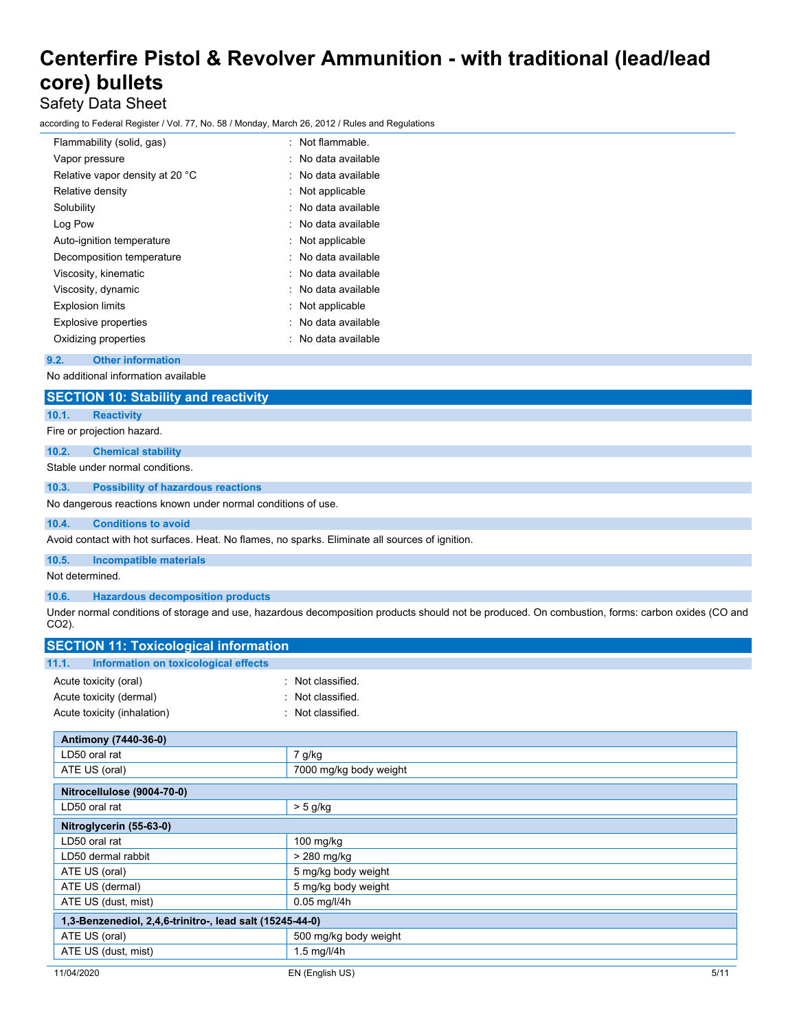### Safety Data Sheet

according to Federal Register / Vol. 77, No. 58 / Monday, March 26, 2012 / Rules and Regulations

| Flammability (solid, gas)       | Not flammable.      |
|---------------------------------|---------------------|
| Vapor pressure                  | : No data available |
| Relative vapor density at 20 °C | : No data available |
| Relative density                | : Not applicable    |
| Solubility                      | No data available   |
| Log Pow                         | : No data available |
| Auto-ignition temperature       | : Not applicable    |
| Decomposition temperature       | : No data available |
| Viscosity, kinematic            | : No data available |
| Viscosity, dynamic              | No data available   |
| <b>Explosion limits</b>         | Not applicable      |
| <b>Explosive properties</b>     | : No data available |
| Oxidizing properties            | No data available   |

### **9.2. Other information**

No additional information available

|                    | <b>SECTION 10: Stability and reactivity</b>                                                     |                                                                                                                                                  |
|--------------------|-------------------------------------------------------------------------------------------------|--------------------------------------------------------------------------------------------------------------------------------------------------|
| 10.1.              | <b>Reactivity</b>                                                                               |                                                                                                                                                  |
|                    | Fire or projection hazard.                                                                      |                                                                                                                                                  |
| 10.2.              | <b>Chemical stability</b>                                                                       |                                                                                                                                                  |
|                    | Stable under normal conditions.                                                                 |                                                                                                                                                  |
| 10.3.              | <b>Possibility of hazardous reactions</b>                                                       |                                                                                                                                                  |
|                    | No dangerous reactions known under normal conditions of use.                                    |                                                                                                                                                  |
| 10.4.              | <b>Conditions to avoid</b>                                                                      |                                                                                                                                                  |
|                    | Avoid contact with hot surfaces. Heat. No flames, no sparks. Eliminate all sources of ignition. |                                                                                                                                                  |
| 10.5.              | <b>Incompatible materials</b>                                                                   |                                                                                                                                                  |
| Not determined.    |                                                                                                 |                                                                                                                                                  |
| 10.6.              | <b>Hazardous decomposition products</b>                                                         |                                                                                                                                                  |
| CO <sub>2</sub> ). |                                                                                                 | Under normal conditions of storage and use, hazardous decomposition products should not be produced. On combustion, forms: carbon oxides (CO and |
|                    | <b>SECTION 11: Toxicological information</b>                                                    |                                                                                                                                                  |
| 11.1.              | Information on toxicological effects                                                            |                                                                                                                                                  |
|                    | Acute toxicity (oral)                                                                           | : Not classified.                                                                                                                                |
|                    | Acute toxicity (dermal)                                                                         | : Not classified.                                                                                                                                |
|                    | Acute toxicity (inhalation)                                                                     | : Not classified.                                                                                                                                |

| Antimony (7440-36-0)                                     |                         |  |
|----------------------------------------------------------|-------------------------|--|
| LD50 oral rat                                            | 7 g/kg                  |  |
| ATE US (oral)                                            | 7000 mg/kg body weight  |  |
| Nitrocellulose (9004-70-0)                               |                         |  |
| LD50 oral rat                                            | $> 5$ g/kg              |  |
| Nitroglycerin (55-63-0)                                  |                         |  |
| LD50 oral rat                                            | 100 mg/kg               |  |
| LD50 dermal rabbit                                       | > 280 mg/kg             |  |
| ATE US (oral)                                            | 5 mg/kg body weight     |  |
| ATE US (dermal)                                          | 5 mg/kg body weight     |  |
| ATE US (dust, mist)                                      | $0.05$ mg/l/4h          |  |
| 1,3-Benzenediol, 2,4,6-trinitro-, lead salt (15245-44-0) |                         |  |
| ATE US (oral)                                            | 500 mg/kg body weight   |  |
| ATE US (dust, mist)                                      | $1.5$ mg/l/4h           |  |
| 11/04/2020                                               | 5/11<br>EN (English US) |  |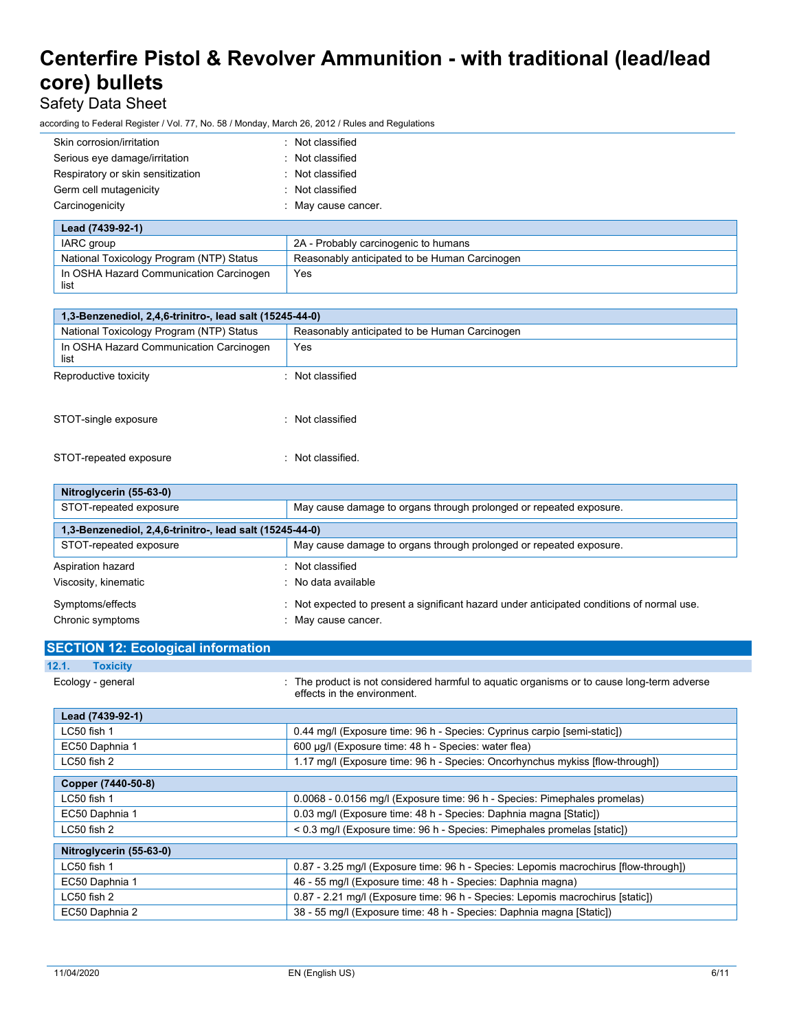### Safety Data Sheet

according to Federal Register / Vol. 77, No. 58 / Monday, March 26, 2012 / Rules and Regulations

| Skin corrosion/irritation         | : Not classified                     |
|-----------------------------------|--------------------------------------|
| Serious eye damage/irritation     | : Not classified                     |
| Respiratory or skin sensitization | : Not classified                     |
| Germ cell mutagenicity            | : Not classified                     |
| Carcinogenicity                   | : May cause cancer.                  |
| Lead (7439-92-1)                  |                                      |
| IARC group                        | 2A - Probably carcinogenic to humans |
|                                   |                                      |

| National Toxicology Program (NTP) Status        | Reasonably anticipated to be Human Carcinogen |
|-------------------------------------------------|-----------------------------------------------|
| In OSHA Hazard Communication Carcinogen<br>list | Yes                                           |
|                                                 |                                               |

| 1,3-Benzenediol, 2,4,6-trinitro-, lead salt (15245-44-0)                                  |                  |
|-------------------------------------------------------------------------------------------|------------------|
| Reasonably anticipated to be Human Carcinogen<br>National Toxicology Program (NTP) Status |                  |
| In OSHA Hazard Communication Carcinogen<br>list                                           | Yes              |
| Reproductive toxicity                                                                     | Not classified   |
| STOT-single exposure                                                                      | : Not classified |
| STOT-repeated exposure                                                                    | Not classified.  |

| Nitroglycerin (55-63-0)                                  |                                                                                          |
|----------------------------------------------------------|------------------------------------------------------------------------------------------|
| STOT-repeated exposure                                   | May cause damage to organs through prolonged or repeated exposure.                       |
| 1,3-Benzenediol, 2,4,6-trinitro-, lead salt (15245-44-0) |                                                                                          |
| STOT-repeated exposure                                   | May cause damage to organs through prolonged or repeated exposure.                       |
| Aspiration hazard                                        | : Not classified                                                                         |
| Viscosity, kinematic                                     | : No data available                                                                      |
| Symptoms/effects                                         | Not expected to present a significant hazard under anticipated conditions of normal use. |
| Chronic symptoms                                         | May cause cancer.                                                                        |

| <b>SECTION 12: Ecological information</b> |                                                                                                                           |
|-------------------------------------------|---------------------------------------------------------------------------------------------------------------------------|
| 12.1.<br><b>Toxicity</b>                  |                                                                                                                           |
| Ecology - general                         | : The product is not considered harmful to aguatic organisms or to cause long-term adverse<br>effects in the environment. |
| Lead (7439-92-1)                          |                                                                                                                           |
| LC50 fish 1                               | 0.44 mg/l (Exposure time: 96 h - Species: Cyprinus carpio [semi-static])                                                  |
| EC50 Daphnia 1                            | 600 µg/l (Exposure time: 48 h - Species: water flea)                                                                      |
| LC50 fish 2                               | 1.17 mg/l (Exposure time: 96 h - Species: Oncorhynchus mykiss [flow-through])                                             |
| Copper (7440-50-8)                        |                                                                                                                           |
| LC50 fish 1                               | 0.0068 - 0.0156 mg/l (Exposure time: 96 h - Species: Pimephales promelas)                                                 |
| EC50 Daphnia 1                            | 0.03 mg/l (Exposure time: 48 h - Species: Daphnia magna [Static])                                                         |
| LC50 fish 2                               | < 0.3 mg/l (Exposure time: 96 h - Species: Pimephales promelas [static])                                                  |
| Nitroglycerin (55-63-0)                   |                                                                                                                           |
| $LC50$ fish 1                             | 0.87 - 3.25 mg/l (Exposure time: 96 h - Species: Lepomis macrochirus [flow-through])                                      |
| EC50 Daphnia 1                            | 46 - 55 mg/l (Exposure time: 48 h - Species: Daphnia magna)                                                               |
| LC50 fish 2                               | 0.87 - 2.21 mg/l (Exposure time: 96 h - Species: Lepomis macrochirus [static])                                            |
| EC50 Daphnia 2                            | 38 - 55 mg/l (Exposure time: 48 h - Species: Daphnia magna [Static])                                                      |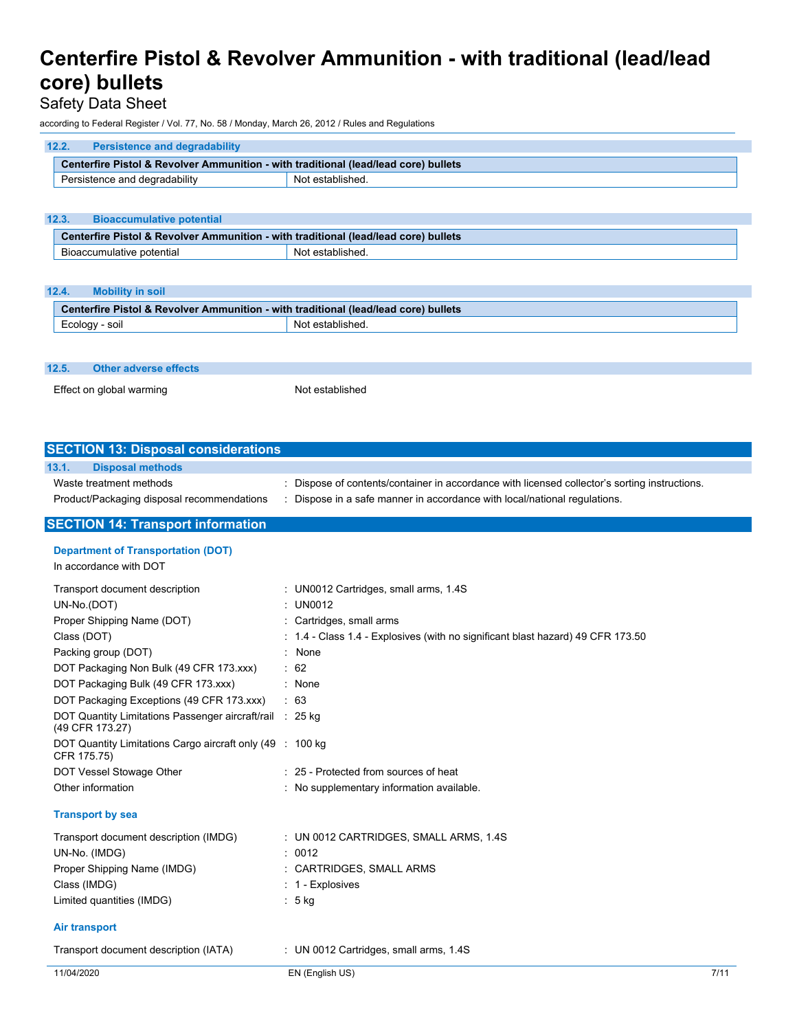### Safety Data Sheet

according to Federal Register / Vol. 77, No. 58 / Monday, March 26, 2012 / Rules and Regulations

| 12.2.<br><b>Persistence and degradability</b>                                       |                  |
|-------------------------------------------------------------------------------------|------------------|
| Centerfire Pistol & Revolver Ammunition - with traditional (lead/lead core) bullets |                  |
| Persistence and degradability                                                       | Not established. |
|                                                                                     |                  |
| 12.3.<br><b>Bioaccumulative potential</b>                                           |                  |
| Centerfire Pistol & Revolver Ammunition - with traditional (lead/lead core) bullets |                  |
| Bioaccumulative potential                                                           | Not established. |
|                                                                                     |                  |
| 12.4.<br><b>Mobility in soil</b>                                                    |                  |
| Centerfire Pistol & Revolver Ammunition - with traditional (lead/lead core) bullets |                  |
| Ecology - soil                                                                      | Not established. |
|                                                                                     |                  |
|                                                                                     |                  |
|                                                                                     |                  |
| 12.5.<br><b>Other adverse effects</b>                                               |                  |

| <b>SECTION 13: Disposal considerations</b>                                  |                                                                                               |      |
|-----------------------------------------------------------------------------|-----------------------------------------------------------------------------------------------|------|
| <b>Disposal methods</b><br>13.1.                                            |                                                                                               |      |
| Waste treatment methods                                                     | : Dispose of contents/container in accordance with licensed collector's sorting instructions. |      |
| Product/Packaging disposal recommendations                                  | Dispose in a safe manner in accordance with local/national regulations.                       |      |
| <b>SECTION 14: Transport information</b>                                    |                                                                                               |      |
| <b>Department of Transportation (DOT)</b>                                   |                                                                                               |      |
| In accordance with DOT                                                      |                                                                                               |      |
| Transport document description                                              | : UN0012 Cartridges, small arms, 1.4S                                                         |      |
| UN-No.(DOT)                                                                 | $:$ UN0012                                                                                    |      |
| Proper Shipping Name (DOT)                                                  | : Cartridges, small arms                                                                      |      |
| Class (DOT)                                                                 | : 1.4 - Class 1.4 - Explosives (with no significant blast hazard) 49 CFR 173.50               |      |
| Packing group (DOT)                                                         | None                                                                                          |      |
| DOT Packaging Non Bulk (49 CFR 173.xxx)                                     | $\therefore$ 62                                                                               |      |
| DOT Packaging Bulk (49 CFR 173.xxx)                                         | : None                                                                                        |      |
| DOT Packaging Exceptions (49 CFR 173.xxx)                                   | : 63                                                                                          |      |
| DOT Quantity Limitations Passenger aircraft/rail : 25 kg<br>(49 CFR 173.27) |                                                                                               |      |
| DOT Quantity Limitations Cargo aircraft only (49 : 100 kg)<br>CFR 175.75)   |                                                                                               |      |
| DOT Vessel Stowage Other                                                    | : 25 - Protected from sources of heat                                                         |      |
| Other information                                                           | : No supplementary information available.                                                     |      |
| <b>Transport by sea</b>                                                     |                                                                                               |      |
| Transport document description (IMDG)                                       | : UN 0012 CARTRIDGES, SMALL ARMS, 1.4S                                                        |      |
| UN-No. (IMDG)                                                               | : 0012                                                                                        |      |
| Proper Shipping Name (IMDG)                                                 | : CARTRIDGES, SMALL ARMS                                                                      |      |
| Class (IMDG)                                                                | $: 1$ - Explosives                                                                            |      |
| Limited quantities (IMDG)                                                   | $: 5$ kg                                                                                      |      |
| <b>Air transport</b>                                                        |                                                                                               |      |
| Transport document description (IATA)                                       | : UN 0012 Cartridges, small arms, 1.4S                                                        |      |
| 11/04/2020                                                                  | EN (English US)                                                                               | 7/11 |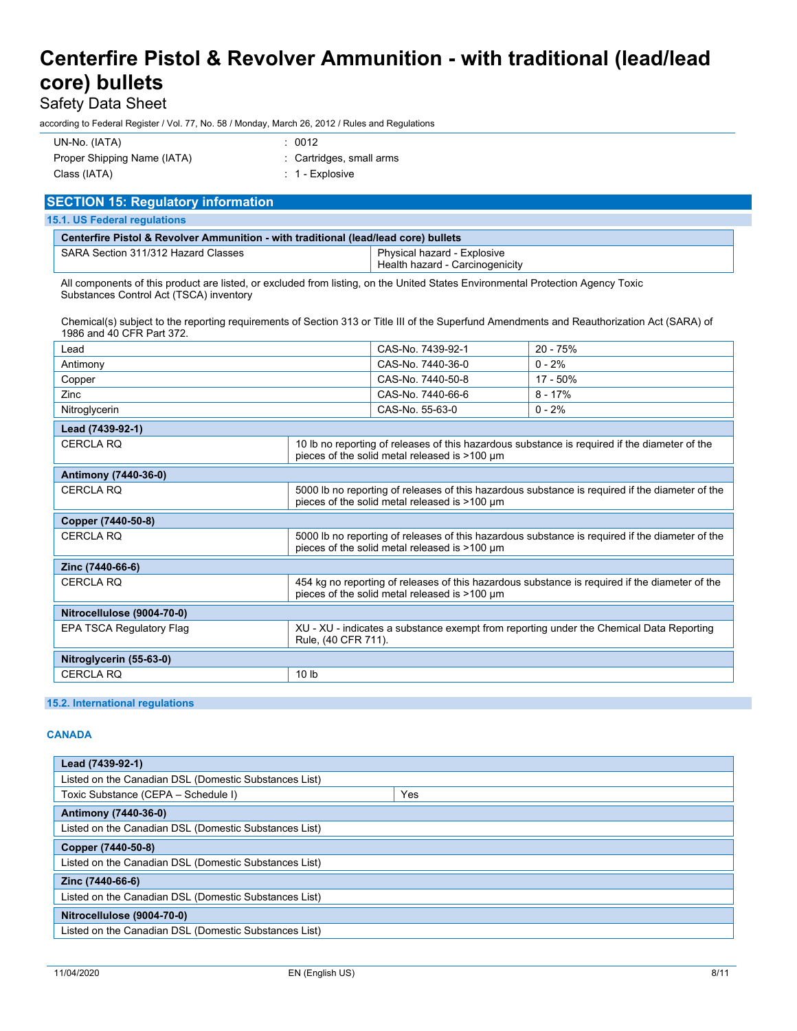### Safety Data Sheet

according to Federal Register / Vol. 77, No. 58 / Monday, March 26, 2012 / Rules and Regulations

| UN-No. (IATA)               | : 0012                   |
|-----------------------------|--------------------------|
| Proper Shipping Name (IATA) | : Cartridges, small arms |
| Class (IATA)                | : 1 - Explosive          |

| <b>SECTION 15: Regulatory information</b>                                           |                                                                |
|-------------------------------------------------------------------------------------|----------------------------------------------------------------|
| <b>15.1. US Federal regulations</b>                                                 |                                                                |
| Centerfire Pistol & Revolver Ammunition - with traditional (lead/lead core) bullets |                                                                |
| SARA Section 311/312 Hazard Classes                                                 | Physical hazard - Explosive<br>Health hazard - Carcinogenicity |

All components of this product are listed, or excluded from listing, on the United States Environmental Protection Agency Toxic Substances Control Act (TSCA) inventory

Chemical(s) subject to the reporting requirements of Section 313 or Title III of the Superfund Amendments and Reauthorization Act (SARA) of 1986 and 40 CFR Part 372.

| Lead                       |                     | CAS-No. 7439-92-1                             | $20 - 75%$                                                                                      |
|----------------------------|---------------------|-----------------------------------------------|-------------------------------------------------------------------------------------------------|
| Antimony                   |                     | CAS-No. 7440-36-0                             | $0 - 2%$                                                                                        |
| Copper                     |                     | CAS-No. 7440-50-8                             | 17 - 50%                                                                                        |
| Zinc                       |                     | CAS-No. 7440-66-6                             | $8 - 17%$                                                                                       |
| Nitroglycerin              |                     | CAS-No. 55-63-0                               | $0 - 2%$                                                                                        |
| Lead (7439-92-1)           |                     |                                               |                                                                                                 |
| <b>CERCLA RO</b>           |                     | pieces of the solid metal released is >100 µm | 10 lb no reporting of releases of this hazardous substance is required if the diameter of the   |
| Antimony (7440-36-0)       |                     |                                               |                                                                                                 |
| <b>CERCLA RQ</b>           |                     | pieces of the solid metal released is >100 um | 5000 lb no reporting of releases of this hazardous substance is required if the diameter of the |
| Copper (7440-50-8)         |                     |                                               |                                                                                                 |
| <b>CERCLA RQ</b>           |                     | pieces of the solid metal released is >100 µm | 5000 lb no reporting of releases of this hazardous substance is required if the diameter of the |
| Zinc (7440-66-6)           |                     |                                               |                                                                                                 |
| <b>CERCLA RQ</b>           |                     | pieces of the solid metal released is >100 µm | 454 kg no reporting of releases of this hazardous substance is required if the diameter of the  |
| Nitrocellulose (9004-70-0) |                     |                                               |                                                                                                 |
| EPA TSCA Regulatory Flag   | Rule, (40 CFR 711). |                                               | XU - XU - indicates a substance exempt from reporting under the Chemical Data Reporting         |
| Nitroglycerin (55-63-0)    |                     |                                               |                                                                                                 |
| <b>CERCLA RQ</b>           | 10 <sub>h</sub>     |                                               |                                                                                                 |
|                            |                     |                                               |                                                                                                 |

### **15.2. International regulations**

### **CANADA**

| Lead (7439-92-1)                                      |     |
|-------------------------------------------------------|-----|
| Listed on the Canadian DSL (Domestic Substances List) |     |
| Toxic Substance (CEPA - Schedule I)                   | Yes |
| <b>Antimony (7440-36-0)</b>                           |     |
| Listed on the Canadian DSL (Domestic Substances List) |     |
| Copper (7440-50-8)                                    |     |
| Listed on the Canadian DSL (Domestic Substances List) |     |
| Zinc (7440-66-6)                                      |     |
| Listed on the Canadian DSL (Domestic Substances List) |     |
| Nitrocellulose (9004-70-0)                            |     |
| Listed on the Canadian DSL (Domestic Substances List) |     |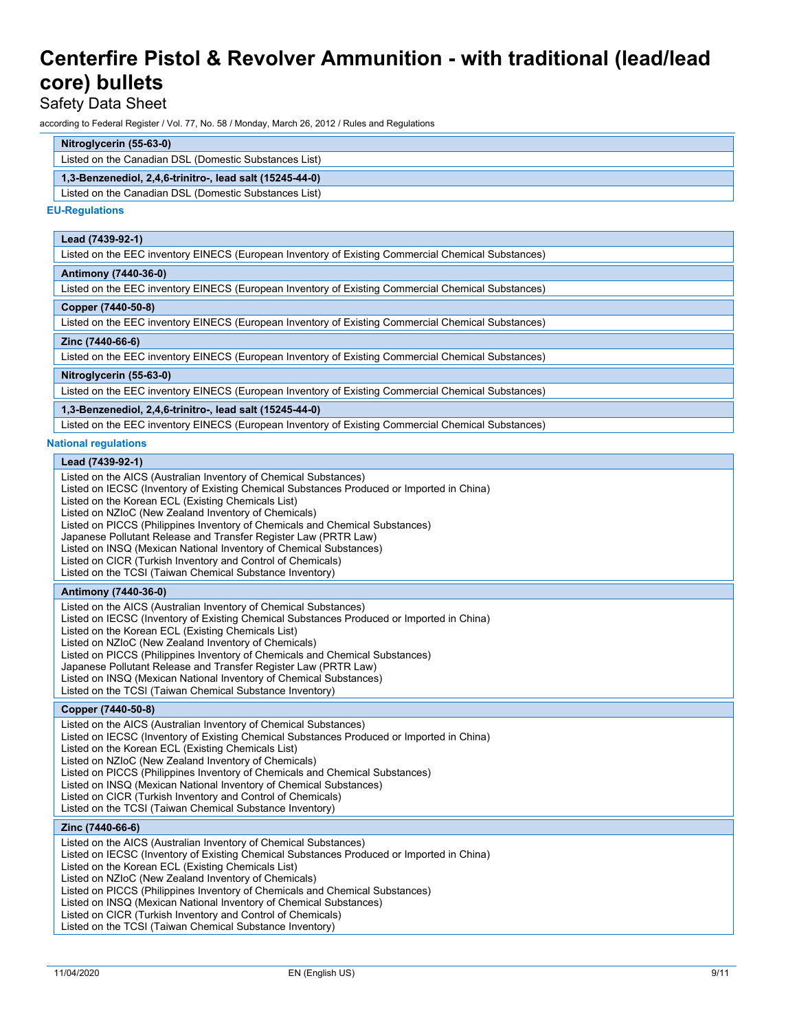### Safety Data Sheet

according to Federal Register / Vol. 77, No. 58 / Monday, March 26, 2012 / Rules and Regulations

### **Nitroglycerin (55-63-0)**

Listed on the Canadian DSL (Domestic Substances List)

### **1,3-Benzenediol, 2,4,6-trinitro-, lead salt (15245-44-0)**

Listed on the Canadian DSL (Domestic Substances List)

#### **EU-Regulations**

### **Lead (7439-92-1)**

Listed on the EEC inventory EINECS (European Inventory of Existing Commercial Chemical Substances)

#### **Antimony (7440-36-0)**

Listed on the EEC inventory EINECS (European Inventory of Existing Commercial Chemical Substances)

#### **Copper (7440-50-8)**

Listed on the EEC inventory EINECS (European Inventory of Existing Commercial Chemical Substances)

### **Zinc (7440-66-6)**

Listed on the EEC inventory EINECS (European Inventory of Existing Commercial Chemical Substances)

#### **Nitroglycerin (55-63-0)**

Listed on the EEC inventory EINECS (European Inventory of Existing Commercial Chemical Substances)

### **1,3-Benzenediol, 2,4,6-trinitro-, lead salt (15245-44-0)**

Listed on the EEC inventory EINECS (European Inventory of Existing Commercial Chemical Substances)

### **National regulations**

**Lead (7439-92-1)** Listed on the AICS (Australian Inventory of Chemical Substances)

- Listed on IECSC (Inventory of Existing Chemical Substances Produced or Imported in China)
- Listed on the Korean ECL (Existing Chemicals List)
- Listed on NZIoC (New Zealand Inventory of Chemicals)
- Listed on PICCS (Philippines Inventory of Chemicals and Chemical Substances)
- Japanese Pollutant Release and Transfer Register Law (PRTR Law)
- Listed on INSQ (Mexican National Inventory of Chemical Substances)
- Listed on CICR (Turkish Inventory and Control of Chemicals)
- Listed on the TCSI (Taiwan Chemical Substance Inventory)

### **Antimony (7440-36-0)**

Listed on the AICS (Australian Inventory of Chemical Substances)

Listed on IECSC (Inventory of Existing Chemical Substances Produced or Imported in China)

Listed on the Korean ECL (Existing Chemicals List)

Listed on NZIoC (New Zealand Inventory of Chemicals)

Listed on PICCS (Philippines Inventory of Chemicals and Chemical Substances)

Japanese Pollutant Release and Transfer Register Law (PRTR Law)

Listed on INSQ (Mexican National Inventory of Chemical Substances)

Listed on the TCSI (Taiwan Chemical Substance Inventory)

### **Copper (7440-50-8)**

Listed on the AICS (Australian Inventory of Chemical Substances)

Listed on IECSC (Inventory of Existing Chemical Substances Produced or Imported in China)

Listed on the Korean ECL (Existing Chemicals List)

Listed on NZIoC (New Zealand Inventory of Chemicals)

Listed on PICCS (Philippines Inventory of Chemicals and Chemical Substances)

Listed on INSQ (Mexican National Inventory of Chemical Substances)

Listed on CICR (Turkish Inventory and Control of Chemicals)

Listed on the TCSI (Taiwan Chemical Substance Inventory)

#### **Zinc (7440-66-6)**

Listed on the AICS (Australian Inventory of Chemical Substances)

Listed on IECSC (Inventory of Existing Chemical Substances Produced or Imported in China)

Listed on the Korean ECL (Existing Chemicals List)

Listed on NZIoC (New Zealand Inventory of Chemicals)

Listed on PICCS (Philippines Inventory of Chemicals and Chemical Substances)

Listed on INSQ (Mexican National Inventory of Chemical Substances)

Listed on CICR (Turkish Inventory and Control of Chemicals)

Listed on the TCSI (Taiwan Chemical Substance Inventory)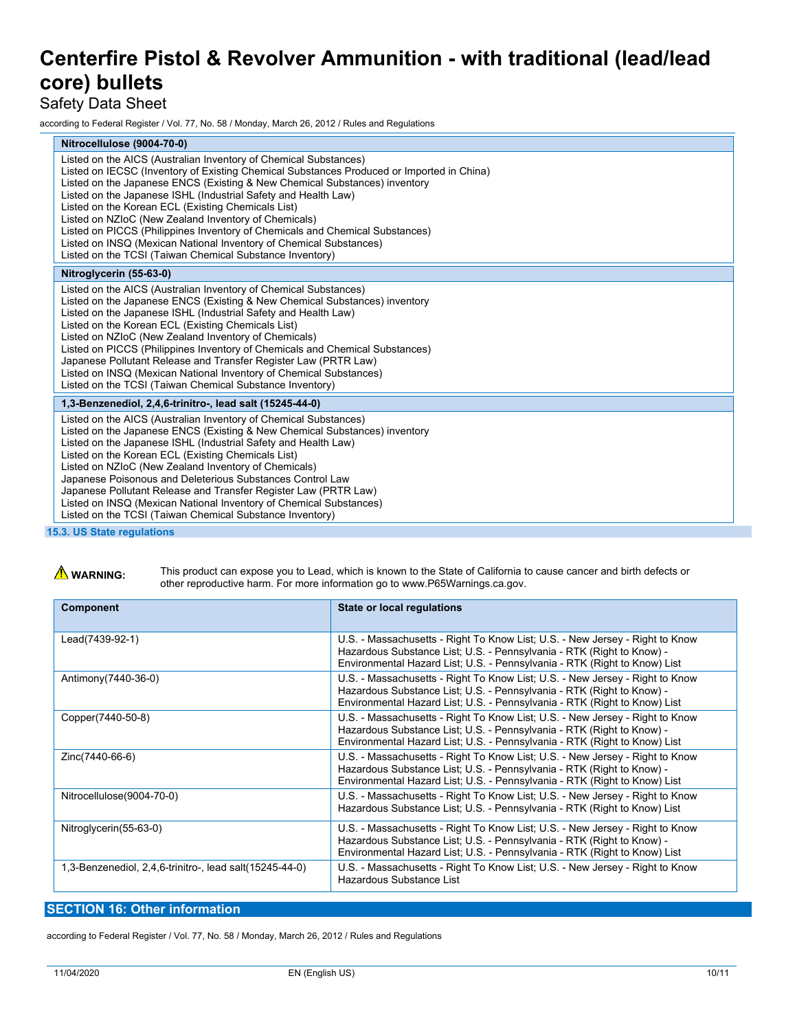### Safety Data Sheet

according to Federal Register / Vol. 77, No. 58 / Monday, March 26, 2012 / Rules and Regulations

| Nitrocellulose (9004-70-0)<br>Listed on the AICS (Australian Inventory of Chemical Substances)<br>Listed on IECSC (Inventory of Existing Chemical Substances Produced or Imported in China)<br>Listed on the Japanese ENCS (Existing & New Chemical Substances) inventory<br>Listed on the Japanese ISHL (Industrial Safety and Health Law)<br>Listed on the Korean ECL (Existing Chemicals List)<br>Listed on NZIoC (New Zealand Inventory of Chemicals)<br>Listed on PICCS (Philippines Inventory of Chemicals and Chemical Substances)<br>Listed on INSQ (Mexican National Inventory of Chemical Substances)<br>Listed on the TCSI (Taiwan Chemical Substance Inventory) |
|-----------------------------------------------------------------------------------------------------------------------------------------------------------------------------------------------------------------------------------------------------------------------------------------------------------------------------------------------------------------------------------------------------------------------------------------------------------------------------------------------------------------------------------------------------------------------------------------------------------------------------------------------------------------------------|
|                                                                                                                                                                                                                                                                                                                                                                                                                                                                                                                                                                                                                                                                             |
|                                                                                                                                                                                                                                                                                                                                                                                                                                                                                                                                                                                                                                                                             |
| Nitroglycerin (55-63-0)                                                                                                                                                                                                                                                                                                                                                                                                                                                                                                                                                                                                                                                     |
| Listed on the AICS (Australian Inventory of Chemical Substances)<br>Listed on the Japanese ENCS (Existing & New Chemical Substances) inventory<br>Listed on the Japanese ISHL (Industrial Safety and Health Law)<br>Listed on the Korean ECL (Existing Chemicals List)<br>Listed on NZIoC (New Zealand Inventory of Chemicals)<br>Listed on PICCS (Philippines Inventory of Chemicals and Chemical Substances)<br>Japanese Pollutant Release and Transfer Register Law (PRTR Law)<br>Listed on INSQ (Mexican National Inventory of Chemical Substances)<br>Listed on the TCSI (Taiwan Chemical Substance Inventory)                                                         |
| 1,3-Benzenediol, 2,4,6-trinitro-, lead salt (15245-44-0)                                                                                                                                                                                                                                                                                                                                                                                                                                                                                                                                                                                                                    |
| Listed on the AICS (Australian Inventory of Chemical Substances)<br>Listed on the Japanese ENCS (Existing & New Chemical Substances) inventory<br>Listed on the Japanese ISHL (Industrial Safety and Health Law)<br>Listed on the Korean ECL (Existing Chemicals List)<br>Listed on NZIoC (New Zealand Inventory of Chemicals)<br>Japanese Poisonous and Deleterious Substances Control Law<br>Japanese Pollutant Release and Transfer Register Law (PRTR Law)<br>Listed on INSQ (Mexican National Inventory of Chemical Substances)<br>Listed on the TCSI (Taiwan Chemical Substance Inventory)<br><b>15.3. US State regulations</b>                                       |

### **WARNING:** This product can expose you to Lead, which is known to the State of California to cause cancer and birth defects or other reproductive harm. For more information go to www.P65Warnings.ca.gov.

| <b>Component</b>                                        | State or local regulations                                                                                                                                                                                                         |
|---------------------------------------------------------|------------------------------------------------------------------------------------------------------------------------------------------------------------------------------------------------------------------------------------|
| Lead(7439-92-1)                                         | U.S. - Massachusetts - Right To Know List; U.S. - New Jersey - Right to Know<br>Hazardous Substance List; U.S. - Pennsylvania - RTK (Right to Know) -<br>Environmental Hazard List; U.S. - Pennsylvania - RTK (Right to Know) List |
| Antimony (7440-36-0)                                    | U.S. - Massachusetts - Right To Know List; U.S. - New Jersey - Right to Know<br>Hazardous Substance List; U.S. - Pennsylvania - RTK (Right to Know) -<br>Environmental Hazard List; U.S. - Pennsylvania - RTK (Right to Know) List |
| Copper(7440-50-8)                                       | U.S. - Massachusetts - Right To Know List: U.S. - New Jersey - Right to Know<br>Hazardous Substance List; U.S. - Pennsylvania - RTK (Right to Know) -<br>Environmental Hazard List; U.S. - Pennsylvania - RTK (Right to Know) List |
| Zinc(7440-66-6)                                         | U.S. - Massachusetts - Right To Know List; U.S. - New Jersey - Right to Know<br>Hazardous Substance List; U.S. - Pennsylvania - RTK (Right to Know) -<br>Environmental Hazard List; U.S. - Pennsylvania - RTK (Right to Know) List |
| Nitrocellulose(9004-70-0)                               | U.S. - Massachusetts - Right To Know List; U.S. - New Jersey - Right to Know<br>Hazardous Substance List; U.S. - Pennsylvania - RTK (Right to Know) List                                                                           |
| Nitroglycerin(55-63-0)                                  | U.S. - Massachusetts - Right To Know List; U.S. - New Jersey - Right to Know<br>Hazardous Substance List; U.S. - Pennsylvania - RTK (Right to Know) -<br>Environmental Hazard List; U.S. - Pennsylvania - RTK (Right to Know) List |
| 1,3-Benzenediol, 2,4,6-trinitro-, lead salt(15245-44-0) | U.S. - Massachusetts - Right To Know List; U.S. - New Jersey - Right to Know<br>Hazardous Substance List                                                                                                                           |

### **SECTION 16: Other information**

according to Federal Register / Vol. 77, No. 58 / Monday, March 26, 2012 / Rules and Regulations